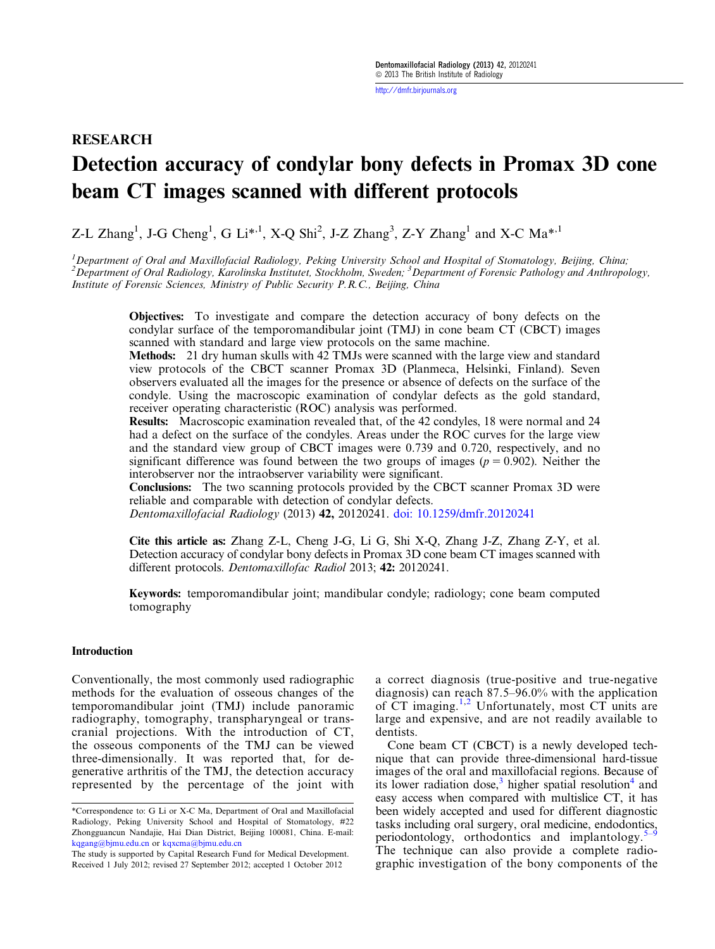<http://dmfr.birjournals.org>

# RESEARCH Detection accuracy of condylar bony defects in Promax 3D cone beam CT images scanned with different protocols

Z-L Zhang<sup>1</sup>, J-G Cheng<sup>1</sup>, G Li<sup>\*,1</sup>, X-Q Shi<sup>2</sup>, J-Z Zhang<sup>3</sup>, Z-Y Zhang<sup>1</sup> and X-C Ma<sup>\*,1</sup>

<sup>1</sup>Department of Oral and Maxillofacial Radiology, Peking University School and Hospital of Stomatology, Beijing, China; <sup>2</sup> Department of Oral Radiology, Karolinska Institutet, Stockholm, Sweden; <sup>3</sup> Department of Forensic Pathology and Anthropology, Institute of Forensic Sciences, Ministry of Public Security P.R.C., Beijing, China

Objectives: To investigate and compare the detection accuracy of bony defects on the condylar surface of the temporomandibular joint (TMJ) in cone beam CT (CBCT) images scanned with standard and large view protocols on the same machine.

Methods: 21 dry human skulls with 42 TMJs were scanned with the large view and standard view protocols of the CBCT scanner Promax 3D (Planmeca, Helsinki, Finland). Seven observers evaluated all the images for the presence or absence of defects on the surface of the condyle. Using the macroscopic examination of condylar defects as the gold standard, receiver operating characteristic (ROC) analysis was performed.

Results: Macroscopic examination revealed that, of the 42 condyles, 18 were normal and 24 had a defect on the surface of the condyles. Areas under the ROC curves for the large view and the standard view group of CBCT images were 0.739 and 0.720, respectively, and no significant difference was found between the two groups of images ( $p = 0.902$ ). Neither the interobserver nor the intraobserver variability were significant.

Conclusions: The two scanning protocols provided by the CBCT scanner Promax 3D were reliable and comparable with detection of condylar defects.

Dentomaxillofacial Radiology (2013) 42, 20120241. [doi: 10.1259/dmfr.20120241](http://dx.doi.org/10.1259/dmfr.20120241)

Cite this article as: Zhang Z-L, Cheng J-G, Li G, Shi X-Q, Zhang J-Z, Zhang Z-Y, et al. Detection accuracy of condylar bony defects in Promax 3D cone beam CT images scanned with different protocols. Dentomaxillofac Radiol 2013; 42: 20120241.

Keywords: temporomandibular joint; mandibular condyle; radiology; cone beam computed tomography

#### Introduction

Conventionally, the most commonly used radiographic methods for the evaluation of osseous changes of the temporomandibular joint (TMJ) include panoramic radiography, tomography, transpharyngeal or transcranial projections. With the introduction of CT, the osseous components of the TMJ can be viewed three-dimensionally. It was reported that, for degenerative arthritis of the TMJ, the detection accuracy represented by the percentage of the joint with a correct diagnosis (true-positive and true-negative diagnosis) can reach 87.5–96.0% with the application of  $CT$  imaging.<sup>[1](#page-4-0),[2](#page-4-0)</sup> Unfortunately, most  $CT$  units are large and expensive, and are not readily available to dentists.

Cone beam CT (CBCT) is a newly developed technique that can provide three-dimensional hard-tissue images of the oral and maxillofacial regions. Because of its lower radiation dose, $3$  higher spatial resolution<sup>4</sup> and easy access when compared with multislice CT, it has been widely accepted and used for different diagnostic tasks including oral surgery, oral medicine, endodont[ics,](#page-4-0) periodontology, orthodontics and implantology. $\frac{5}{2}$ The technique can also provide a complete radiographic investigation of the bony components of the

<sup>\*</sup>Correspondence to: G Li or X-C Ma, Department of Oral and Maxillofacial Radiology, Peking University School and Hospital of Stomatology, #22 Zhongguancun Nandajie, Hai Dian District, Beijing 100081, China. E-mail: [kqgang@bjmu.edu.cn](mailto:kqgang@bjmu.edu.cn) or [kqxcma@bjmu.edu.cn](mailto:kqxcma@bjmu.edu.cn)

The study is supported by Capital Research Fund for Medical Development. Received 1 July 2012; revised 27 September 2012; accepted 1 October 2012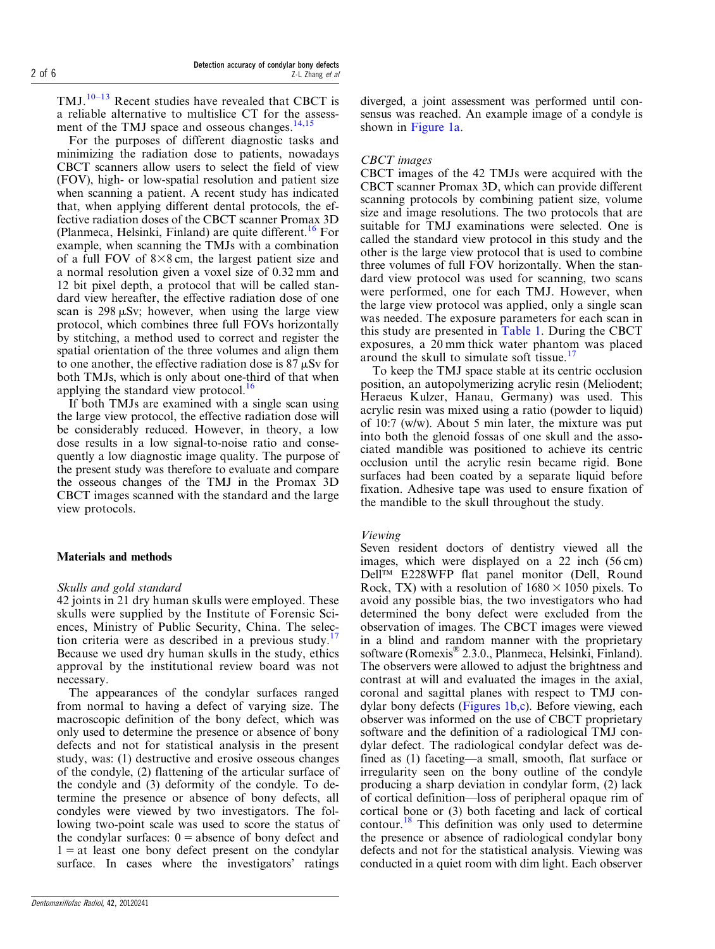TMJ.<sup>10–[13](#page-4-0)</sup> Recent studies have revealed that CBCT is a reliable alternative to multislice CT for the assessment of the TMJ space and osseous changes. $14,15$ 

For the purposes of different diagnostic tasks and minimizing the radiation dose to patients, nowadays CBCT scanners allow users to select the field of view (FOV), high- or low-spatial resolution and patient size when scanning a patient. A recent study has indicated that, when applying different dental protocols, the effective radiation doses of the CBCT scanner Promax 3D (Planmeca, Helsinki, Finland) are quite different.<sup>[16](#page-4-0)</sup> For example, when scanning the TMJs with a combination of a full FOV of  $8\times 8$  cm, the largest patient size and a normal resolution given a voxel size of 0.32 mm and 12 bit pixel depth, a protocol that will be called standard view hereafter, the effective radiation dose of one scan is  $298 \mu Sv$ ; however, when using the large view protocol, which combines three full FOVs horizontally by stitching, a method used to correct and register the spatial orientation of the three volumes and align them to one another, the effective radiation dose is  $87 \mu Sv$  for both TMJs, which is only about one-third of that when applying the standard view protocol. $16$ 

If both TMJs are examined with a single scan using the large view protocol, the effective radiation dose will be considerably reduced. However, in theory, a low dose results in a low signal-to-noise ratio and consequently a low diagnostic image quality. The purpose of the present study was therefore to evaluate and compare the osseous changes of the TMJ in the Promax 3D CBCT images scanned with the standard and the large view protocols.

## Materials and methods

## Skulls and gold standard

42 joints in 21 dry human skulls were employed. These skulls were supplied by the Institute of Forensic Sciences, Ministry of Public Security, China. The selec-tion criteria were as described in a previous study.<sup>[17](#page-4-0)</sup> Because we used dry human skulls in the study, ethics approval by the institutional review board was not necessary.

The appearances of the condylar surfaces ranged from normal to having a defect of varying size. The macroscopic definition of the bony defect, which was only used to determine the presence or absence of bony defects and not for statistical analysis in the present study, was: (1) destructive and erosive osseous changes of the condyle, (2) flattening of the articular surface of the condyle and (3) deformity of the condyle. To determine the presence or absence of bony defects, all condyles were viewed by two investigators. The following two-point scale was used to score the status of the condylar surfaces:  $0 =$  absence of bony defect and  $1 = at$  least one bony defect present on the condylar surface. In cases where the investigators' ratings diverged, a joint assessment was performed until consensus was reached. An example image of a condyle is shown in [Figure 1a](#page-2-0).

# CBCT images

CBCT images of the 42 TMJs were acquired with the CBCT scanner Promax 3D, which can provide different scanning protocols by combining patient size, volume size and image resolutions. The two protocols that are suitable for TMJ examinations were selected. One is called the standard view protocol in this study and the other is the large view protocol that is used to combine three volumes of full FOV horizontally. When the standard view protocol was used for scanning, two scans were performed, one for each TMJ. However, when the large view protocol was applied, only a single scan was needed. The exposure parameters for each scan in this study are presented in [Table 1.](#page-3-0) During the CBCT exposures, a 20 mm thick water phantom was placed around the skull to simulate soft tissue.<sup>[17](#page-4-0)</sup>

To keep the TMJ space stable at its centric occlusion position, an autopolymerizing acrylic resin (Meliodent; Heraeus Kulzer, Hanau, Germany) was used. This acrylic resin was mixed using a ratio (powder to liquid) of 10:7 (w/w). About 5 min later, the mixture was put into both the glenoid fossas of one skull and the associated mandible was positioned to achieve its centric occlusion until the acrylic resin became rigid. Bone surfaces had been coated by a separate liquid before fixation. Adhesive tape was used to ensure fixation of the mandible to the skull throughout the study.

# Viewing

Seven resident doctors of dentistry viewed all the images, which were displayed on a 22 inch (56 cm) Dell<sup>™</sup> E228WFP flat panel monitor (Dell, Round Rock, TX) with a resolution of  $1680 \times 1050$  pixels. To avoid any possible bias, the two investigators who had determined the bony defect were excluded from the observation of images. The CBCT images were viewed in a blind and random manner with the proprietary software (Romexis® 2.3.0., Planmeca, Helsinki, Finland). The observers were allowed to adjust the brightness and contrast at will and evaluated the images in the axial, coronal and sagittal planes with respect to TMJ condylar bony defects [\(Figures 1b,c\)](#page-2-0). Before viewing, each observer was informed on the use of CBCT proprietary software and the definition of a radiological TMJ condylar defect. The radiological condylar defect was defined as (1) faceting—a small, smooth, flat surface or irregularity seen on the bony outline of the condyle producing a sharp deviation in condylar form, (2) lack of cortical definition—loss of peripheral opaque rim of cortical bone or (3) both faceting and lack of cortical contour[.18](#page-5-0) This definition was only used to determine the presence or absence of radiological condylar bony defects and not for the statistical analysis. Viewing was conducted in a quiet room with dim light. Each observer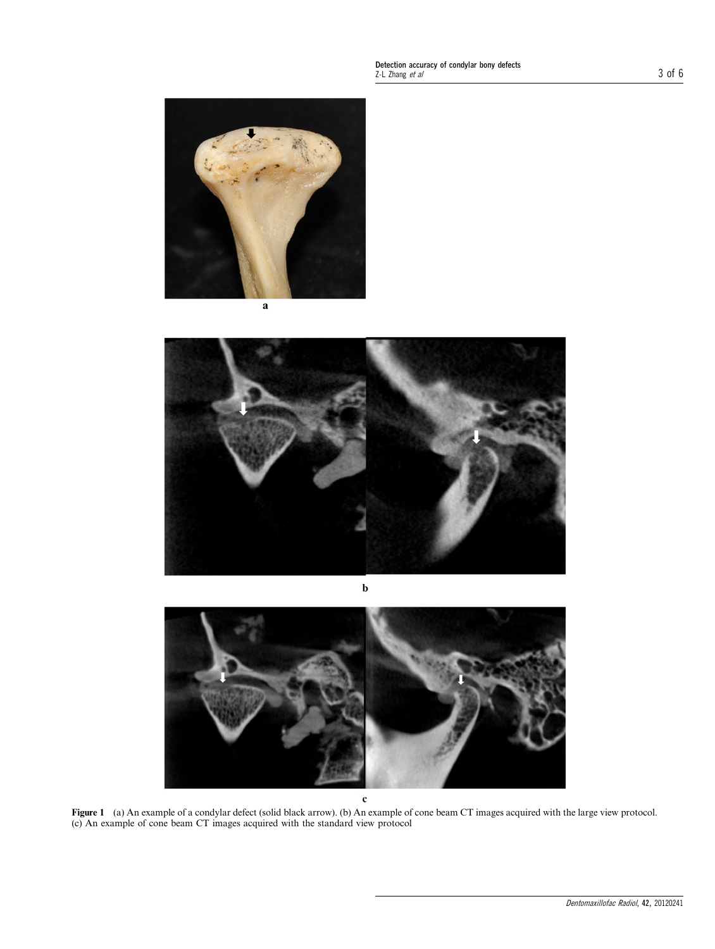<span id="page-2-0"></span>Detection accuracy of condylar bony defects<br>Z-L Zhang *et al* 3 Of 6







Figure 1 (a) An example of a condylar defect (solid black arrow). (b) An example of cone beam CT images acquired with the large view protocol. (c) An example of cone beam CT images acquired with the standard view protocol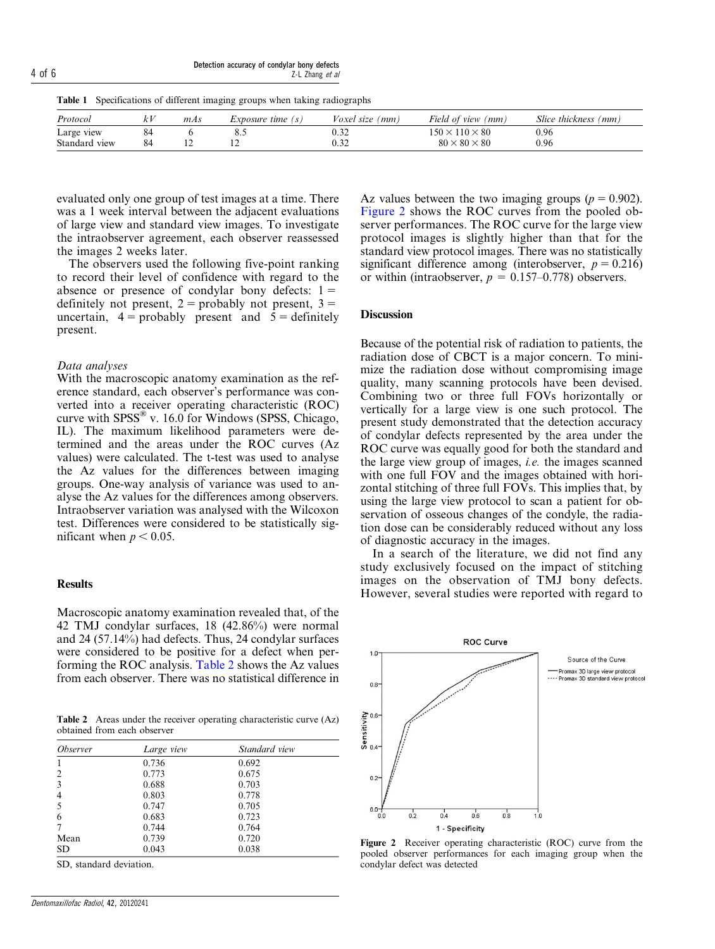<span id="page-3-0"></span>Detection accuracy of condylar bony defects  $\frac{1}{4}$  of 6  $\frac{1}{2}$   $\frac{1}{2}$   $\frac{1}{2}$   $\frac{1}{2}$   $\frac{1}{2}$   $\frac{1}{2}$   $\frac{1}{2}$   $\frac{1}{2}$   $\frac{1}{2}$   $\frac{1}{2}$   $\frac{1}{2}$   $\frac{1}{2}$   $\frac{1}{2}$   $\frac{1}{2}$   $\frac{1}{2}$   $\frac{1}{2}$   $\frac{1}{2}$   $\frac{1}{2}$   $\frac{1}{2}$   $\frac{1}{2}$   $\frac{1}{$ 

Table 1 Specifications of different imaging groups when taking radiographs

| Protocol      | $\sim$ | mAs | Exposure time (s) | <i>Voxel size</i><br>(mm | Field of view<br>(mm       | Slice thickness<br>(mm) |
|---------------|--------|-----|-------------------|--------------------------|----------------------------|-------------------------|
| Large view    |        |     | 0. .              | ∪.J∠                     | $150 \times 110 \times 80$ | 0.96                    |
| Standard view | 84     |     |                   | $\cdots$<br>∪.J∠         | $80 \times 80 \times 80$   | 0.96                    |

evaluated only one group of test images at a time. There was a 1 week interval between the adjacent evaluations of large view and standard view images. To investigate the intraobserver agreement, each observer reassessed the images 2 weeks later.

The observers used the following five-point ranking to record their level of confidence with regard to the absence or presence of condylar bony defects:  $1 =$ definitely not present,  $2 =$  probably not present,  $3 =$ uncertain,  $4 =$  probably present and  $5 =$  definitely present.

#### Data analyses

With the macroscopic anatomy examination as the reference standard, each observer's performance was converted into a receiver operating characteristic (ROC) curve with  $SPSS^{\circledast}$  v. 16.0 for Windows (SPSS, Chicago, IL). The maximum likelihood parameters were determined and the areas under the ROC curves (Az values) were calculated. The t-test was used to analyse the Az values for the differences between imaging groups. One-way analysis of variance was used to analyse the Az values for the differences among observers. Intraobserver variation was analysed with the Wilcoxon test. Differences were considered to be statistically significant when  $p < 0.05$ .

### **Results**

Macroscopic anatomy examination revealed that, of the 42 TMJ condylar surfaces, 18 (42.86%) were normal and 24 (57.14%) had defects. Thus, 24 condylar surfaces were considered to be positive for a defect when performing the ROC analysis. Table 2 shows the Az values from each observer. There was no statistical difference in

Table 2 Areas under the receiver operating characteristic curve (Az) obtained from each observer

| <i><b>Observer</b></i> | Large view | Standard view |  |
|------------------------|------------|---------------|--|
| 1                      | 0.736      | 0.692         |  |
| 2                      | 0.773      | 0.675         |  |
| 3                      | 0.688      | 0.703         |  |
| 4                      | 0.803      | 0.778         |  |
| 5                      | 0.747      | 0.705         |  |
| 6                      | 0.683      | 0.723         |  |
| 7                      | 0.744      | 0.764         |  |
| Mean                   | 0.739      | 0.720         |  |
| SD                     | 0.043      | 0.038         |  |

SD, standard deviation.

Az values between the two imaging groups ( $p = 0.902$ ). Figure 2 shows the ROC curves from the pooled observer performances. The ROC curve for the large view protocol images is slightly higher than that for the standard view protocol images. There was no statistically significant difference among (interobserver,  $p = 0.216$ ) or within (intraobserver,  $p = 0.157{\text -}0.778$ ) observers.

## **Discussion**

Because of the potential risk of radiation to patients, the radiation dose of CBCT is a major concern. To minimize the radiation dose without compromising image quality, many scanning protocols have been devised. Combining two or three full FOVs horizontally or vertically for a large view is one such protocol. The present study demonstrated that the detection accuracy of condylar defects represented by the area under the ROC curve was equally good for both the standard and the large view group of images, i.e. the images scanned with one full FOV and the images obtained with horizontal stitching of three full FOVs. This implies that, by using the large view protocol to scan a patient for observation of osseous changes of the condyle, the radiation dose can be considerably reduced without any loss of diagnostic accuracy in the images.

In a search of the literature, we did not find any study exclusively focused on the impact of stitching images on the observation of TMJ bony defects. However, several studies were reported with regard to



Figure 2 Receiver operating characteristic (ROC) curve from the pooled observer performances for each imaging group when the condylar defect was detected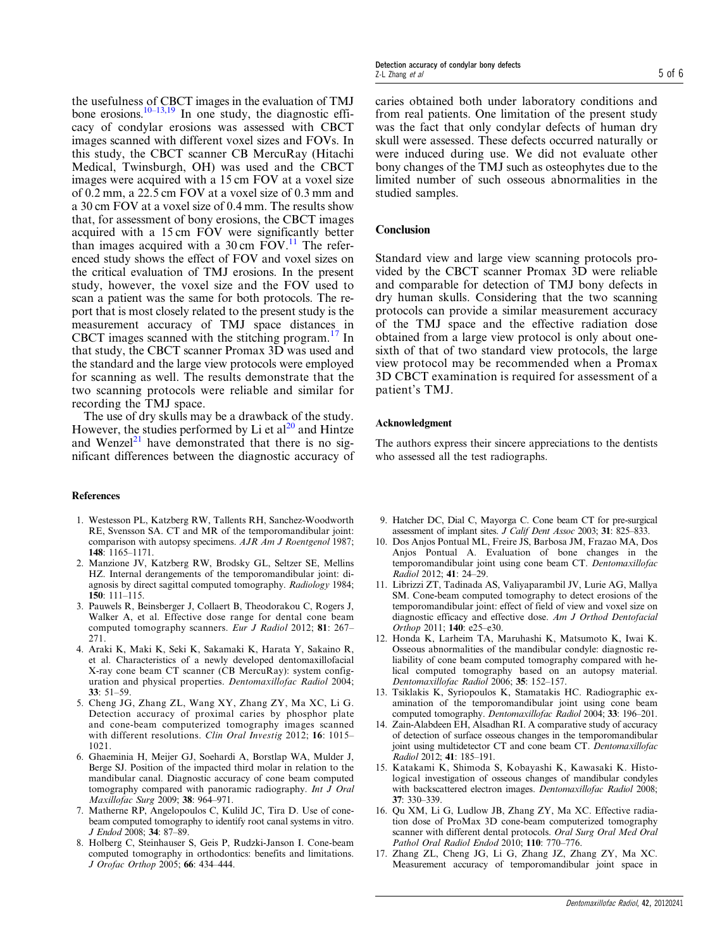<span id="page-4-0"></span>the usefulness of CBCT images in the evaluation of TMJ bone erosions.<sup>10–[13,19](#page-5-0)</sup> In one study, the diagnostic efficacy of condylar erosions was assessed with CBCT images scanned with different voxel sizes and FOVs. In this study, the CBCT scanner CB MercuRay (Hitachi Medical, Twinsburgh, OH) was used and the CBCT images were acquired with a 15 cm FOV at a voxel size of 0.2 mm, a 22.5 cm FOV at a voxel size of 0.3 mm and a 30 cm FOV at a voxel size of 0.4 mm. The results show that, for assessment of bony erosions, the CBCT images acquired with a 15 cm FOV were significantly better than images acquired with a  $30 \text{ cm}$  FOV.<sup>11</sup> The referenced study shows the effect of FOV and voxel sizes on the critical evaluation of TMJ erosions. In the present study, however, the voxel size and the FOV used to scan a patient was the same for both protocols. The report that is most closely related to the present study is the measurement accuracy of TMJ space distances in CBCT images scanned with the stitching program. $17$  In that study, the CBCT scanner Promax 3D was used and the standard and the large view protocols were employed for scanning as well. The results demonstrate that the two scanning protocols were reliable and similar for recording the TMJ space.

The use of dry skulls may be a drawback of the study. However, the studies performed by Li et  $al^{20}$  $al^{20}$  $al^{20}$  and Hintze and Wenzel<sup>[21](#page-5-0)</sup> have demonstrated that there is no significant differences between the diagnostic accuracy of

#### References

- 1. Westesson PL, Katzberg RW, Tallents RH, Sanchez-Woodworth RE, Svensson SA. CT and MR of the temporomandibular joint: comparison with autopsy specimens. AJR Am J Roentgenol 1987; 148: 1165–1171.
- 2. Manzione JV, Katzberg RW, Brodsky GL, Seltzer SE, Mellins HZ. Internal derangements of the temporomandibular joint: diagnosis by direct sagittal computed tomography. Radiology 1984; 150: 111–115.
- 3. Pauwels R, Beinsberger J, Collaert B, Theodorakou C, Rogers J, Walker A, et al. Effective dose range for dental cone beam computed tomography scanners. Eur J Radiol 2012; 81: 267– 271.
- 4. Araki K, Maki K, Seki K, Sakamaki K, Harata Y, Sakaino R, et al. Characteristics of a newly developed dentomaxillofacial X-ray cone beam CT scanner (CB MercuRay): system configuration and physical properties. Dentomaxillofac Radiol 2004; 33: 51–59.
- 5. Cheng JG, Zhang ZL, Wang XY, Zhang ZY, Ma XC, Li G. Detection accuracy of proximal caries by phosphor plate and cone-beam computerized tomography images scanned with different resolutions. Clin Oral Investig 2012; 16: 1015– 1021.
- 6. Ghaeminia H, Meijer GJ, Soehardi A, Borstlap WA, Mulder J, Berge SJ. Position of the impacted third molar in relation to the mandibular canal. Diagnostic accuracy of cone beam computed tomography compared with panoramic radiography. Int J Oral Maxillofac Surg 2009; 38: 964–971.
- 7. Matherne RP, Angelopoulos C, Kulild JC, Tira D. Use of conebeam computed tomography to identify root canal systems in vitro. J Endod 2008; 34: 87–89.
- 8. Holberg C, Steinhauser S, Geis P, Rudzki-Janson I. Cone-beam computed tomography in orthodontics: benefits and limitations. J Orofac Orthop 2005; 66: 434–444.

caries obtained both under laboratory conditions and from real patients. One limitation of the present study was the fact that only condylar defects of human dry skull were assessed. These defects occurred naturally or were induced during use. We did not evaluate other bony changes of the TMJ such as osteophytes due to the limited number of such osseous abnormalities in the studied samples.

## Conclusion

Standard view and large view scanning protocols provided by the CBCT scanner Promax 3D were reliable and comparable for detection of TMJ bony defects in dry human skulls. Considering that the two scanning protocols can provide a similar measurement accuracy of the TMJ space and the effective radiation dose obtained from a large view protocol is only about onesixth of that of two standard view protocols, the large view protocol may be recommended when a Promax 3D CBCT examination is required for assessment of a patient's TMJ.

#### Acknowledgment

The authors express their sincere appreciations to the dentists who assessed all the test radiographs.

- 9. Hatcher DC, Dial C, Mayorga C. Cone beam CT for pre-surgical assessment of implant sites. J Calif Dent Assoc 2003; 31: 825–833.
- 10. Dos Anjos Pontual ML, Freire JS, Barbosa JM, Frazao MA, Dos Anjos Pontual A. Evaluation of bone changes in the temporomandibular joint using cone beam CT. Dentomaxillofac Radiol 2012; 41: 24–29.
- 11. Librizzi ZT, Tadinada AS, Valiyaparambil JV, Lurie AG, Mallya SM. Cone-beam computed tomography to detect erosions of the temporomandibular joint: effect of field of view and voxel size on diagnostic efficacy and effective dose. Am J Orthod Dentofacial Orthop 2011; 140: e25–e30.
- 12. Honda K, Larheim TA, Maruhashi K, Matsumoto K, Iwai K. Osseous abnormalities of the mandibular condyle: diagnostic reliability of cone beam computed tomography compared with helical computed tomography based on an autopsy material. Dentomaxillofac Radiol 2006; 35: 152–157.
- 13. Tsiklakis K, Syriopoulos K, Stamatakis HC. Radiographic examination of the temporomandibular joint using cone beam computed tomography. Dentomaxillofac Radiol 2004; 33: 196–201.
- 14. Zain-Alabdeen EH, Alsadhan RI. A comparative study of accuracy of detection of surface osseous changes in the temporomandibular joint using multidetector CT and cone beam CT. Dentomaxillofac  $Radiol$  2012: 41: 185–191.
- 15. Katakami K, Shimoda S, Kobayashi K, Kawasaki K. Histological investigation of osseous changes of mandibular condyles with backscattered electron images. Dentomaxillofac Radiol 2008; 37: 330–339.
- 16. Qu XM, Li G, Ludlow JB, Zhang ZY, Ma XC. Effective radiation dose of ProMax 3D cone-beam computerized tomography scanner with different dental protocols. Oral Surg Oral Med Oral Pathol Oral Radiol Endod 2010; 110: 770–776.
- 17. Zhang ZL, Cheng JG, Li G, Zhang JZ, Zhang ZY, Ma XC. Measurement accuracy of temporomandibular joint space in